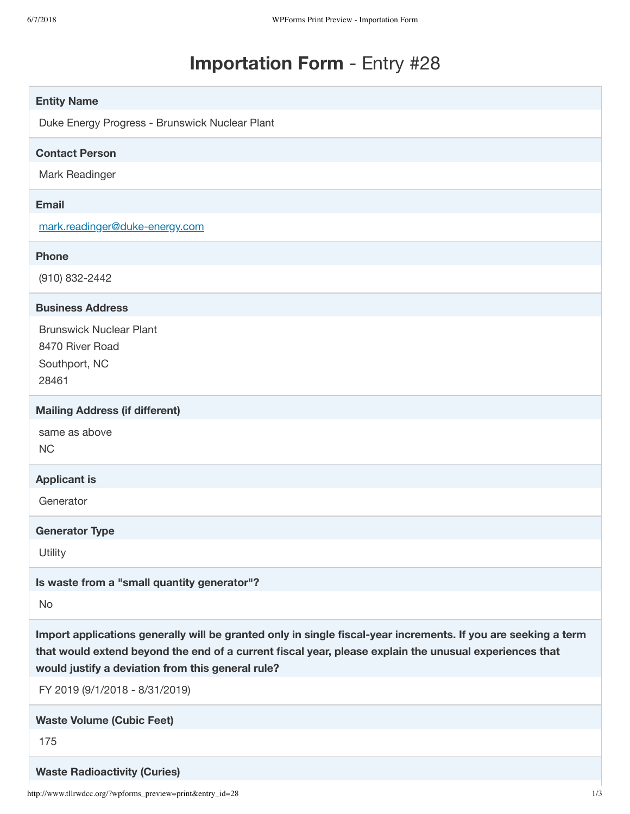# **Importation Form** - Entry #28

| <b>Entity Name</b>                                                                                                                                                                                                                                                            |
|-------------------------------------------------------------------------------------------------------------------------------------------------------------------------------------------------------------------------------------------------------------------------------|
| Duke Energy Progress - Brunswick Nuclear Plant                                                                                                                                                                                                                                |
|                                                                                                                                                                                                                                                                               |
| <b>Contact Person</b>                                                                                                                                                                                                                                                         |
| Mark Readinger                                                                                                                                                                                                                                                                |
| <b>Email</b>                                                                                                                                                                                                                                                                  |
| mark.readinger@duke-energy.com                                                                                                                                                                                                                                                |
| <b>Phone</b>                                                                                                                                                                                                                                                                  |
| (910) 832-2442                                                                                                                                                                                                                                                                |
| <b>Business Address</b>                                                                                                                                                                                                                                                       |
| <b>Brunswick Nuclear Plant</b>                                                                                                                                                                                                                                                |
| 8470 River Road                                                                                                                                                                                                                                                               |
| Southport, NC<br>28461                                                                                                                                                                                                                                                        |
|                                                                                                                                                                                                                                                                               |
| <b>Mailing Address (if different)</b>                                                                                                                                                                                                                                         |
| same as above<br><b>NC</b>                                                                                                                                                                                                                                                    |
|                                                                                                                                                                                                                                                                               |
| <b>Applicant is</b>                                                                                                                                                                                                                                                           |
| Generator                                                                                                                                                                                                                                                                     |
| <b>Generator Type</b>                                                                                                                                                                                                                                                         |
| Utility                                                                                                                                                                                                                                                                       |
| Is waste from a "small quantity generator"?                                                                                                                                                                                                                                   |
| No                                                                                                                                                                                                                                                                            |
| Import applications generally will be granted only in single fiscal-year increments. If you are seeking a term<br>that would extend beyond the end of a current fiscal year, please explain the unusual experiences that<br>would justify a deviation from this general rule? |
| FY 2019 (9/1/2018 - 8/31/2019)                                                                                                                                                                                                                                                |
| <b>Waste Volume (Cubic Feet)</b>                                                                                                                                                                                                                                              |
| 175                                                                                                                                                                                                                                                                           |
| <b>Waste Radioactivity (Curies)</b>                                                                                                                                                                                                                                           |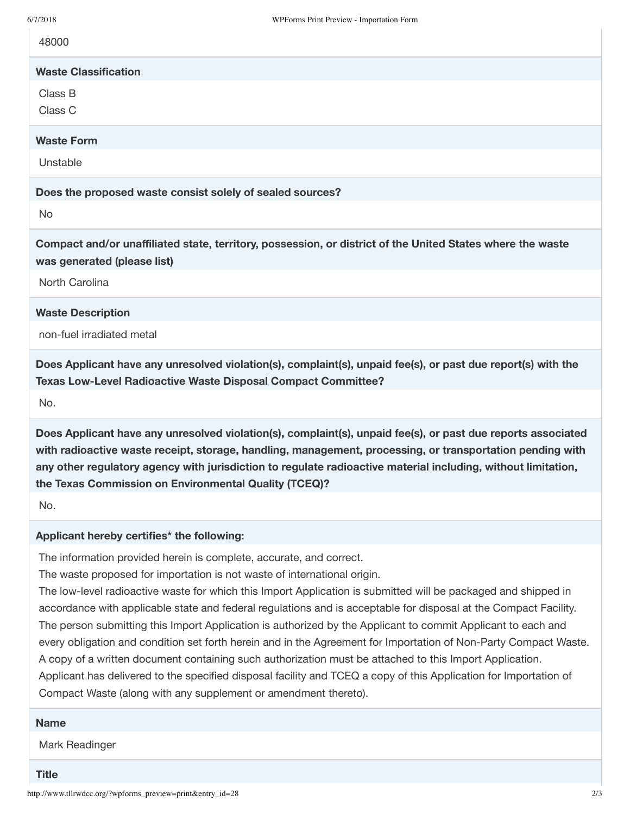48000

# **Waste Classification**

Class B

Class C

#### **Waste Form**

Unstable

**Does the proposed waste consist solely of sealed sources?**

No

**Compact and/or unaffiliated state, territory, possession, or district of the United States where the waste was generated (please list)**

North Carolina

#### **Waste Description**

non-fuel irradiated metal

**Does Applicant have any unresolved violation(s), complaint(s), unpaid fee(s), or past due report(s) with the Texas Low-Level Radioactive Waste Disposal Compact Committee?**

No.

**Does Applicant have any unresolved violation(s), complaint(s), unpaid fee(s), or past due reports associated with radioactive waste receipt, storage, handling, management, processing, or transportation pending with any other regulatory agency with jurisdiction to regulate radioactive material including, without limitation, the Texas Commission on Environmental Quality (TCEQ)?**

No.

## **Applicant hereby certifies\* the following:**

The information provided herein is complete, accurate, and correct.

The waste proposed for importation is not waste of international origin.

The low-level radioactive waste for which this Import Application is submitted will be packaged and shipped in accordance with applicable state and federal regulations and is acceptable for disposal at the Compact Facility. The person submitting this Import Application is authorized by the Applicant to commit Applicant to each and every obligation and condition set forth herein and in the Agreement for Importation of Non-Party Compact Waste. A copy of a written document containing such authorization must be attached to this Import Application. Applicant has delivered to the specified disposal facility and TCEQ a copy of this Application for Importation of Compact Waste (along with any supplement or amendment thereto).

### **Name**

Mark Readinger